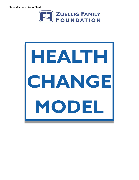

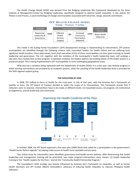The Health Change Model (HCM) was derived from the Bridging Leadership (BL) framework developed by the Asian Institute of Management-Center for Bridging Leadership, specifically designed to address health inequities. It also utilizes the Theory U and Process, a social technology of change and innovation associated with Scharmer, Senge, Jaworski and Kahane.



This model is the Zuellig Family Foundation's (ZFF) development strategy in implementing its interventions. ZFF partner municipalities are identified through the following criteria: with committed leaders for health reform and are suffering from significant health burdens. Once determined, local chief executives (LCEs) of these municipalities are then given training on health leadership and governance. The LCE, together with the members of the municipality's health leadership team, will undergo a two-year, four-module face-to-face program. In between modules, the leaders address the building blocks of the health system in a practicum phase. This is being implemented in ZFF municipalities in more challenging geographical areas.

HCM also has a variation being replicated with the Department of Health (DOH). It is a one-year, two-module program in which training interventions are provided by an academic partner, while the coaching of the health leadership team is provided by the DOH regional support group.

#### **THE EVOLUTION OF HCM**

In 2008, ZFF shifted its focus to health for the rural poor. In July of that year, with the Amartya Sen's framework on equities as basis, the ZFF Board of Trustees decided to widen the scope of its interventions. This framework reveals that if indicators were to improve, interventions have to be made at different levels: (1) household access, (2) program, (3) institutional arrangements, and (4) leadership and community.



# Improving the Health Condition of the Poor

In October 2008, the ZFF Board approved a five-year plan (2009-2015) that called for a participation in the government's "Health Sector Reform Agenda" by helping make access to health more equitable and pro-poor.

Two critical areas for intervention were identified: governance and health service delivery. After determining that health leadership and management training will be prioritized, two major program-interventions were chosen: (1) health leadership training or the "Health Leaders for the Poor," and (2) the "Community Health Partnership Program."

The Foundation's HCM strategy was heavily influenced by Amartya Sen's framework on inequities, as well as former Health Secretary and ZFF trustee Alberto Romualdez's advocacy of reducing health inequities to improve Philippine health indicators.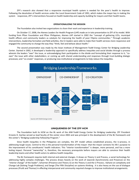ZFF's research also showed that a responsive municipal health system is needed for the poor's health to improve. Following the devolution of health services under the Local Government Code of 1991, which makes the mayor key in making the system responsive, ZFF's interventions focused on health leadership and capacity-building for mayors and their health teams.

## **OPERATIONALIZING THE MISSION**

The Foundation also invited two organizations to share their work and experience in leadership training.

On October 17, 2008, the Ateneo Leaders for Health Program (LHP) made an in toto presentation to ZFF of its model. With funding from Pfizer Foundation and Pfizer Philippines, Ateneo LHP started in 2002 the "concept of gathering LCEs, municipal health officers and community leaders as catalysts for improving the health of poor Filipino communities." Through academic interventions, leadership formation and field activities, the tri-leaders were able to make their health services more responsive and engaged the community to change the way they "think, feel and behave about health."

The second presentation was made by the Asian Institute of Management-TeaM Energy Center for Bridging Leadership Center. Started in 2002, it developed a leadership approach to specifically address inequities and social divides through a process wherein the leaders "own" the issue, or acknowledging their participation in the divide and formulating their response to it; "coown" the issue with other stakeholders; or coming up with shared understanding and responses through trust-building dialogic processes; and "co-create" responses, or producing new institutional arrangements to help reduce the inequities.



# **UNIQUENESS OF THE ZFF HCM**

The Foundation built its HCM on the BL work of the AIM-TeaM Energy Center for Bridging Leadership. ZFF President Ernesto D. Garilao served as lead faculty of the center since 2002 and was principal in the development of the BL framework and the center's "Bridging Leadership Fellowship Program."

Since health inequities in the Philippines are complex, the ZFF model utilizes established process, the U-process, in addressing tough issues. Central to this is the personal transformation of the mayor: that the mayor connects his life's purpose to the improvement of his constituents' health indicators. This "interior transformation" is deeper, more personal, and has a more lasting impact. Personal "ownership" is, therefore, the necessary prerequisite before mayors are able to convince their health leadership teams and other health actors to address health inequities.

The BL framework requires both internal and external changes. It draws on Theory U and Process, a social technology for addressing highly complex challenges. The process draws heavily on the work of Jaworski (Synchronicity and Presence) on the "interior change" of the leader"; Scharmer (Presence and Theory U) on the Theory U and the U Process ; Kahane on complexity and Change Lab (Solving Tough Problems); and Senge (The Fifth Discipline) on systems thinking . It is also heavy on the use of dialogue processes (Pruitt and Thomas) in effecting interpersonal and community required changes to improve institutional arrangements.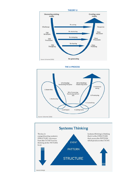





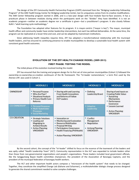The design of the ZFF Community Health Partnership Program (CHPP) stemmed from the "Bridging Leadership Fellowship Program" of the AIM-TeaM Energy Center for Bridging Leadership Center, but its uniqueness comes from its creative modifications. The AIM Center fellowship program started in 2006, and is a two-year design with four-module face-to-face sessions. It has a practicum phase in between modules during which the participants work on the "divides" they have identified. It is not an academic program—neither an academic degree nor a certificate is given—but a practitioner's program. It also closely follows Kolb's "adult learning cycle methodology."

The Foundation has adopted other features for its program. It is mayor-centric ("mayor is key"). The mayor, municipal health officer and community leader have similar leadership interventions, but each has defined deliverables. At the same time, the program can be replicated at a lesser time and cost, and can be adapted by mainstream institutions.

Since addressing health inequities requires time, ZFF has adopted a transformational relationship with the municipal health leaders, and has ensured its continuing presence to enable municipalities to develop a sustainable local health system with consistent good health outcomes.

### **EVOLUTION OF THE ZFF HEALTH CHANGE MODEL (2009-2013)**

#### **FIRST PHASE: TESTING THE MODEL**

The initial phase of the evolution involved testing the model.

ZFF has ensured that the training and program design for its first set of nine partner-municipalities (Cohort 1) followed the ownership-co-ownership-co-creation continuum of the BL framework. The "tri-leader nomenclature," a term first used by the Ateneo LHP, was used in Cohort 1.

|                     | <b>MODULE 1</b>                                                                                                                     | <b>MODULE 2</b>                                                                                                                                                                                  | <b>MODULE 3</b>                                                                                    | <b>MODULE 4</b>                                                                                                                                                                            |
|---------------------|-------------------------------------------------------------------------------------------------------------------------------------|--------------------------------------------------------------------------------------------------------------------------------------------------------------------------------------------------|----------------------------------------------------------------------------------------------------|--------------------------------------------------------------------------------------------------------------------------------------------------------------------------------------------|
| <b>OWNERSHIP</b>    | • Personal Purpose<br>. Who Are Poor?<br>• Situational Analysis<br>• Primary Health Care<br>Reforms                                 | <b>Sharing with and Learning</b><br><b>From Health Innovations</b><br>and Reforms of Follow<br><b>HLP Leaders</b>                                                                                | • Defining<br>Leadership Brand                                                                     | Sharing of and inputs on<br><b>Creating Public Value:</b><br>• Sustaining<br><b>Mechanisms</b><br>• Performance<br>Goverance<br>• Lessons Learned<br>• Action Planning:<br><b>VMOKRAPI</b> |
| <b>CO-OWNERSHIP</b> | • Personal Response<br>· Multi-Stakeholder<br><b>Processes</b><br>■ Social Marketing                                                |                                                                                                                                                                                                  | • Adaptive<br>Leadership                                                                           |                                                                                                                                                                                            |
| <b>CO-CREATION</b>  | <b>Strategic Solutions</b><br>• Leading and<br>Magniging to<br><b>Achieve Results</b><br><b>Action Planning:</b><br><b>VMOKRAPI</b> | · Innovation on<br>• Monitoring and Evalutation<br>• Resource Mobilization<br>• Proposal Writing<br>• Participatory Governance<br>" Health Financing (PhilHealth)<br>• Action Planning: VMOKRAPI | ٠<br>Conflict<br>Management<br>Negotiation<br>۰<br><b>Actiong Planning</b><br>٠<br><b>VMOKRAPI</b> |                                                                                                                                                                                            |

By the second cohort, the concept of the "tri-leader" shifted its focus on the essence of the teamwork of the leaders and was aptly called "Health Leadership Team" (HLT). Community representation in the HLT was expanded to include leaders other than those from non-governmental organizations and people's organizations. These leaders included local government officials, like the Sangguniang Bayan health committee chairperson, the president of the Association of Barangay Captains, and the president of the municipal federation of barangay health workers.

The HLT and other important health actors compose a "microcosm of the health system" that needs to be changed. Together, they constitute the simplified Change Lab (Kahane and Scharmer), a multistakeholder dialogic change process designed to generate the shared commitment needed to solve complex challenges.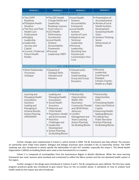| <b>MODULE 1</b>                                                                                                                                                                                                                                          | <b>MODULE 2</b>                                                                                                                                                                                                                                                                 | <b>MODULE 3</b>                                                                                                                                                                                                                                                   | <b>MODULE 4</b>                                                                                                                                                                                                                                             |  |  |  |  |  |  |
|----------------------------------------------------------------------------------------------------------------------------------------------------------------------------------------------------------------------------------------------------------|---------------------------------------------------------------------------------------------------------------------------------------------------------------------------------------------------------------------------------------------------------------------------------|-------------------------------------------------------------------------------------------------------------------------------------------------------------------------------------------------------------------------------------------------------------------|-------------------------------------------------------------------------------------------------------------------------------------------------------------------------------------------------------------------------------------------------------------|--|--|--|--|--|--|
| OWNERSHIP                                                                                                                                                                                                                                                |                                                                                                                                                                                                                                                                                 |                                                                                                                                                                                                                                                                   |                                                                                                                                                                                                                                                             |  |  |  |  |  |  |
| • The CHPP<br>Roadmap<br>• Philippine Health<br>Situation<br>• The Poor and Their<br><b>Health Care</b><br>Predicament<br>• Bridging<br>Leadership<br>• Leadership<br>Journey and<br>Capital<br>• Current / Preferred<br><b>Future Health</b><br>Reality | • The ZZF Health<br>Change Model and<br>Leadership<br>Roadmap: Lessons<br>from Cohort 1<br>• LGU Health<br>Performance<br>Scoredcards<br>• Local Health<br>Systems<br>Accountability<br>Framework<br>· Personal<br>Leadership: MBTI                                             | • Local Health<br>Systems<br>Accountability<br>Framework<br>• Local Health<br>Systems<br>(Levels of Care)<br>• Adaptive and<br>Technical<br>Leadership<br>· Personal<br>Leadership:<br><b>Revisiting Your</b><br>Purpose and<br><b>Connecting to Your</b><br>Core | • Presentation of<br>Accomplisments<br>• Review of Local<br><b>Health Systems</b><br>Development<br><b>Sustaining Health</b><br>Gains<br>· Systems Thinking:<br>Social<br>Determinats of<br>Health                                                          |  |  |  |  |  |  |
|                                                                                                                                                                                                                                                          | CO-OWNERSHIP                                                                                                                                                                                                                                                                    |                                                                                                                                                                                                                                                                   |                                                                                                                                                                                                                                                             |  |  |  |  |  |  |
| · Multi-Stakeholder<br>Processes:<br>Dialogue                                                                                                                                                                                                            | • Deeping of<br>Dialogue Skills<br>Interpersonal<br>Mastery                                                                                                                                                                                                                     | · Interpersonla<br>Mastery:<br>Understanding<br>Group and Group<br><b>Dynamics</b>                                                                                                                                                                                | · Personal<br>Leadership:<br>Coaching and<br>Dialogue<br>Citizens Charter:<br>Health as a Right                                                                                                                                                             |  |  |  |  |  |  |
|                                                                                                                                                                                                                                                          | CO-CREATION                                                                                                                                                                                                                                                                     |                                                                                                                                                                                                                                                                   |                                                                                                                                                                                                                                                             |  |  |  |  |  |  |
| Learning and<br>Managing Health<br>Innovations<br>Solutions<br>Leading and<br>Managing to<br><b>Achieve Results</b><br><b>Action Planning</b><br><b>VMOKRAPI</b>                                                                                         | Leading and<br>Managing Health<br>Innovations:<br>· Social Health<br>Insurance<br>· Maternal and<br>Child Health<br>• Population, Health<br>and Environment<br>· Nutrition<br>Challenges and<br>• Leadership<br>Development<br>• Action Planning:<br><b>Six Building Blocks</b> | • Partnership<br>Opportunities:<br>WaSH, HIS,<br>Nutriotion,<br><b>Community Theater</b><br>and HEAR Radio<br>Advocacy<br>• Conflict<br>Management and<br><b>Team Coaching</b><br><b>Action Planning:</b><br><b>Six Building Blocks</b>                           | · Partnership<br>Opportunities<br><b>ILHZ</b><br>• Translating Health<br><b>Gains into Political</b><br>Capital<br>• Improving Health<br>Seeking Behavior<br>• Crafting Your<br><b>Public Narrative</b><br>• Action Planning:<br><b>Six Building Blocks</b> |  |  |  |  |  |  |

Further changes were implemented in Cohort 2, which started in 2009. The BL framework was fully utilized. The sessions on ownership were made more explicit. Dialogue and dialogic processes were included in the co-ownership section. The CHPP roadmap was also introduced to clearly specify the deliverables of each HLT member, especially the mayor's. The World Health Organization's (WHO) six building blocks were used as the framework for co-creation.

Cohort 3 is composed of municipalities from the Autonomous Region in Muslim Mindanao. While the same learning framework was used, sessions were localized and customized to reflect the Moro context and the non-devolved health system in the region.

Further changes in the design were introduced in Cohorts 4 and 5. The BL competencies were defined. The first four-week program practicum guide was introduced to give clearer focus on the co-creation phase. A workbook on how to analyze local health needs by the mayors was also introduced.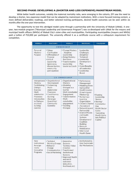## **SECOND PHASE: DEVELOPING A (SHORTER AND LESS EXPENSIVE) MAINSTREAM MODEL**

While better health outcomes, notably the maternal mortality ratio, were emerging in the cohorts, ZFF saw the need to develop a shorter, less expensive model that can be adapted by mainstream institutions. With a more focused training content, a more defined deliverables roadmap, and better selected training participants, desired health outcomes can be seen within six months after the one-year intervention.

The opportunity to test this abridged model came through a partnership with the University of Makati (UMak). A oneyear, two-module program ("Municipal Leadership and Governance Program") was co-developed with UMak for the mayors and municipal health officers (MHOs) of Makati City's sister-cities and municipalities. Participating municipalities (mayors and MHOs) paid a tuition of P10,000 per participant. The university offered it as a certificate course with a colloquium requirement for completion.

| <b>MODULE 1</b>                                                                                                                        | <b>PRACTICUM1</b>                                                                                                                  | <b>MODULE 2</b>                                                                                                                                                                               | <b>PRACTICUM 2</b>                                                                                                                                                                                                                                                                                                                                              | <b>COLLOQUIUM</b>                                                                                                                                                                  |
|----------------------------------------------------------------------------------------------------------------------------------------|------------------------------------------------------------------------------------------------------------------------------------|-----------------------------------------------------------------------------------------------------------------------------------------------------------------------------------------------|-----------------------------------------------------------------------------------------------------------------------------------------------------------------------------------------------------------------------------------------------------------------------------------------------------------------------------------------------------------------|------------------------------------------------------------------------------------------------------------------------------------------------------------------------------------|
| Personal<br>Mastery-<br>Purpose                                                                                                        | • Values<br>Clarification<br>• Affirmation of<br>Purpose<br>• Acts of<br>Leadership<br>(goverance,<br>disease burden.<br>community | OWNERSHIP<br>• Change Mastery<br>- Adaptive<br>Leadership<br>• Being Mastery-<br>Resilience<br>• Transformative<br>Leadership -<br>Leader as Coach                                            | Leadership<br>Challenges<br>(Adaptive/<br>Technical)<br>• Leadership<br>Development<br>Plan<br>• Costs/Benefits<br>of Leadership                                                                                                                                                                                                                                |                                                                                                                                                                                    |
|                                                                                                                                        | participation)                                                                                                                     |                                                                                                                                                                                               | • Leadership<br><b>Brand</b>                                                                                                                                                                                                                                                                                                                                    |                                                                                                                                                                                    |
| Interpersonal<br>Mastery<br>Facilititating                                                                                             | • Organizational<br>Development<br>• Enchancing                                                                                    | CO-OWNERSHIP<br>• Organizational<br>Mastery<br>• Modeling                                                                                                                                     | • Performance<br>Management<br>· Modeling/Deve-                                                                                                                                                                                                                                                                                                                 |                                                                                                                                                                                    |
| <b>Dialogic</b><br>Exercise<br>Multi-<br>stakeholder<br>Processes<br>Introduction<br>to Dialogue<br>as a trust<br>building<br>exercise | Multi-<br>stakeholder<br>Processes<br>• Constituency<br><b>Building</b><br>(Barangay<br>Assenblies/<br>Community<br>Summits)       | Dialogue as a<br>tool for<br>Multi stakeholder<br>Engagement<br>• Transformative<br>Multi-<br>stakeholder<br>engagement<br>• Teaching<br>Dialogue                                             | loping other<br><b>Health Leaders</b><br>(Coaching and<br>Mentoring)<br>• Nurturing a<br>Learning<br>Organization<br>• Citizen's Charter<br>/Scoredcard<br>• Networking and<br>Partnership<br>· District/Provin-<br>cial Health<br>Systems<br>Development/<br>Coalition<br><b>Building</b><br>• Resouce<br>Mobilization<br>• Inter-Local<br><b>Health Zones</b> | • Framing<br>Leadership<br><b>Stories</b><br>• Sharing/<br>Communica-<br>ting<br><b>Health Sector</b><br>Gains-<br>Translating<br><b>Health Gains</b><br>Into Political<br>Capital |
|                                                                                                                                        |                                                                                                                                    |                                                                                                                                                                                               |                                                                                                                                                                                                                                                                                                                                                                 |                                                                                                                                                                                    |
| <b>New</b><br>Institutional<br>Arrange-<br>ments<br>Innovative<br>Programs                                                             | • Technical<br>Working Groups<br>• Behavior<br>Change<br>Communication<br>• Social Marketing                                       | • Innovative<br>Systems-<br><b>Technical Value</b><br>Creation<br>• Transformed<br>Institutional<br>Systems<br>• Improved Health<br>and social<br>outcomes<br>(education,<br>livelihood, etc) | · Institutionaliza-<br>tion/Sustainabi-<br>lity Mechanisms                                                                                                                                                                                                                                                                                                      |                                                                                                                                                                                    |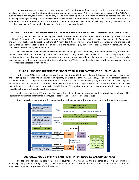Innovations were made with the UMAk program. No ZFF or UMAk staff was assigned to do on-site monitoring unless absolutely necessary. Instead, a structured coaching system was introduced. With clear deliverables based on the WHO's six building blocks, the mayors received one-on-one, face-to-face coaching with their mentors in Manila to address their adaptive leadership challenges. Municipal health officers were coached twice a month over the telephone. The UMak model also utilized a web-based platform to monitor health information systems, organize coaching sessions (including coaching documentation of coaching conversations), and provide data analysis for the participants and coaches.

## **SHARING THE HEALTH LEADERSHIP AND GOVERNANCE MODEL WITH ACADEMIC PARTNERS (2010)**

During the course of the partnership with UMak, the Foundation identified other potential academic partners (Aps) that could build BL capacities. These included the University of the Philippines School of Health Sciences (Palo), Ateneo de Zamboanga, and Davao Medical School Foundation-Institute of Primary Health Care. The roster would later be expanded due to the desire of the DOH for a nationwide rollout of the health leadership and governance program to cover the 609 priority National Anti-Poverty Commission (NAFPC) local government units.

But the quality of the nationwide replication depends on the quality of the training intervention provided by the academic partners. Selected regional academic partners then underwent training to build their capacity to run the training programs. ZFF training designs, modules and learning materials are currently made available to the academic partners. There are also opportunities for vetting both content and training methodologies. While existing templates are provided, enhancements due to local context are expected of regional APs.

## **THIRD PHASE: REPLICATING THE MODEL WITH THE DEPARTMENT OF HEALTH (2013)**

In December 2012, then-Health Secretary Enrique Ona invited ZFF to share its health leadership and governance model and leadership approach for implementation in 609 priority municipalities of the NAPC. For this, ZFF adopted a different approach. The Foundation used a replication mode wherein its leadership and capacity-building program, the "Health Leadership and Governance Program" model, was transferred to the DOH at the national and regional levels. It was also transferred to regional APs that will give the training courses to municipal health leaders. The replication mode was most appropriate to mainstream the model to institutions with greater reach and capacity.

Under this approach, ZFF provides the leadership interventions for governors and provincial health officers. DOH Representatives provide coaching for the mayors as part of their technical assistance package.

Given the scale of this program, it is hoped that the health outcomes of the poor in the country will drastically improve.



### **END GOAL: PUBLIC-PRIVATE PARTNERSHIP FOR GOOD LOCAL GOVERNANCE**

The task of nation-building calls for good local governance. It is hoped that the experience of ZFF in transforming local leadership and governance using BL and systems improvements will be useful to other partners as they reduce institutional inequities to improve the quality of life of the Filipino.